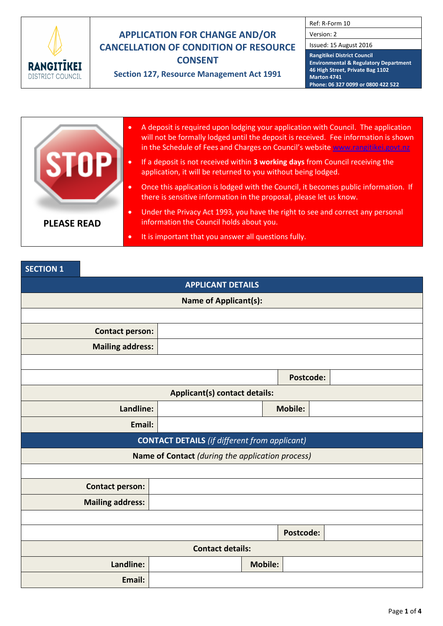

# **APPLICATION FOR CHANGE AND/OR CANCELLATION OF CONDITION OF RESOURCE CONSENT**

**Section 127, Resource Management Act 1991**

Ref: R-Form 10

Version: 2

Issued: 15 August 2016

**Rangitikei District Council Environmental & Regulatory Department 46 High Street, Private Bag 1102 Marton 4741 Phone: 06 327 0099 or 0800 422 522**

|                    | $\bullet$ | A deposit is required upon lodging your application with Council. The application<br>will not be formally lodged until the deposit is received. Fee information is shown<br>in the Schedule of Fees and Charges on Council's website www.rangitikei.govt.nz |
|--------------------|-----------|-------------------------------------------------------------------------------------------------------------------------------------------------------------------------------------------------------------------------------------------------------------|
|                    | $\bullet$ | If a deposit is not received within 3 working days from Council receiving the<br>application, it will be returned to you without being lodged.                                                                                                              |
|                    | $\bullet$ | Once this application is lodged with the Council, it becomes public information. If<br>there is sensitive information in the proposal, please let us know.                                                                                                  |
| <b>PLEASE READ</b> | $\bullet$ | Under the Privacy Act 1993, you have the right to see and correct any personal<br>information the Council holds about you.                                                                                                                                  |
|                    | $\bullet$ | It is important that you answer all questions fully.                                                                                                                                                                                                        |

## **SECTION 1**

| <b>APPLICANT DETAILS</b>                             |                                                  |                |                |  |  |  |  |  |
|------------------------------------------------------|--------------------------------------------------|----------------|----------------|--|--|--|--|--|
| <b>Name of Applicant(s):</b>                         |                                                  |                |                |  |  |  |  |  |
|                                                      |                                                  |                |                |  |  |  |  |  |
| <b>Contact person:</b>                               |                                                  |                |                |  |  |  |  |  |
| <b>Mailing address:</b>                              |                                                  |                |                |  |  |  |  |  |
|                                                      |                                                  |                |                |  |  |  |  |  |
|                                                      |                                                  |                | Postcode:      |  |  |  |  |  |
| <b>Applicant(s) contact details:</b>                 |                                                  |                |                |  |  |  |  |  |
| Landline:                                            |                                                  |                | <b>Mobile:</b> |  |  |  |  |  |
| Email:                                               |                                                  |                |                |  |  |  |  |  |
| <b>CONTACT DETAILS</b> (if different from applicant) |                                                  |                |                |  |  |  |  |  |
|                                                      | Name of Contact (during the application process) |                |                |  |  |  |  |  |
|                                                      |                                                  |                |                |  |  |  |  |  |
| <b>Contact person:</b>                               |                                                  |                |                |  |  |  |  |  |
| <b>Mailing address:</b>                              |                                                  |                |                |  |  |  |  |  |
|                                                      |                                                  |                |                |  |  |  |  |  |
|                                                      |                                                  |                | Postcode:      |  |  |  |  |  |
| <b>Contact details:</b>                              |                                                  |                |                |  |  |  |  |  |
| Landline:                                            |                                                  | <b>Mobile:</b> |                |  |  |  |  |  |
| Email:                                               |                                                  |                |                |  |  |  |  |  |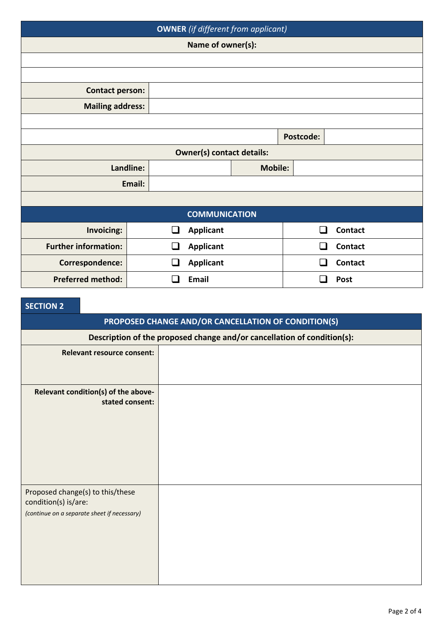| <b>OWNER</b> (if different from applicant) |           |              |                      |                |               |                |  |  |  |
|--------------------------------------------|-----------|--------------|----------------------|----------------|---------------|----------------|--|--|--|
| Name of owner(s):                          |           |              |                      |                |               |                |  |  |  |
|                                            |           |              |                      |                |               |                |  |  |  |
|                                            |           |              |                      |                |               |                |  |  |  |
| <b>Contact person:</b>                     |           |              |                      |                |               |                |  |  |  |
| <b>Mailing address:</b>                    |           |              |                      |                |               |                |  |  |  |
|                                            |           |              |                      |                |               |                |  |  |  |
| <b>Postcode:</b>                           |           |              |                      |                |               |                |  |  |  |
| <b>Owner(s) contact details:</b>           |           |              |                      |                |               |                |  |  |  |
|                                            | Landline: |              |                      | <b>Mobile:</b> |               |                |  |  |  |
|                                            | Email:    |              |                      |                |               |                |  |  |  |
|                                            |           |              |                      |                |               |                |  |  |  |
|                                            |           |              | <b>COMMUNICATION</b> |                |               |                |  |  |  |
| Invoicing:                                 |           | ப            | <b>Applicant</b>     |                | $\mathcal{L}$ | <b>Contact</b> |  |  |  |
| <b>Further information:</b>                |           | $\sim$       | <b>Applicant</b>     |                |               | <b>Contact</b> |  |  |  |
| Correspondence:                            |           | $\mathsf{L}$ | <b>Applicant</b>     |                |               | <b>Contact</b> |  |  |  |
| <b>Preferred method:</b>                   |           |              | <b>Email</b>         |                |               | <b>Post</b>    |  |  |  |

# **SECTION 2**

|                      | PROPOSED CHANGE AND/OR CANCELLATION OF CONDITION(S)                     |  |  |  |  |  |  |  |
|----------------------|-------------------------------------------------------------------------|--|--|--|--|--|--|--|
|                      | Description of the proposed change and/or cancellation of condition(s): |  |  |  |  |  |  |  |
|                      | <b>Relevant resource consent:</b>                                       |  |  |  |  |  |  |  |
|                      |                                                                         |  |  |  |  |  |  |  |
|                      | Relevant condition(s) of the above-<br>stated consent:                  |  |  |  |  |  |  |  |
|                      |                                                                         |  |  |  |  |  |  |  |
|                      |                                                                         |  |  |  |  |  |  |  |
|                      |                                                                         |  |  |  |  |  |  |  |
|                      |                                                                         |  |  |  |  |  |  |  |
|                      |                                                                         |  |  |  |  |  |  |  |
| condition(s) is/are: | Proposed change(s) to this/these                                        |  |  |  |  |  |  |  |
|                      | (continue on a separate sheet if necessary)                             |  |  |  |  |  |  |  |
|                      |                                                                         |  |  |  |  |  |  |  |
|                      |                                                                         |  |  |  |  |  |  |  |
|                      |                                                                         |  |  |  |  |  |  |  |
|                      |                                                                         |  |  |  |  |  |  |  |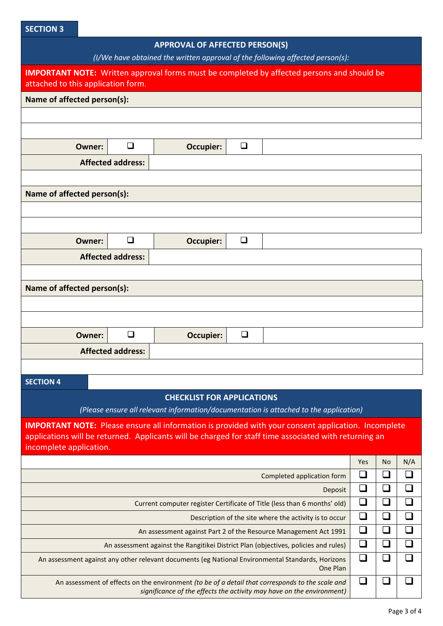#### **SECTION 3**

#### **APPROVAL OF AFFECTED PERSON(S)**

*(I/We have obtained the written approval of the following affected person(s):*

| <i>(i)</i> we nave obtained the written approval of the following affected person(s).                                                   |                          |                                   |        |                                                                                                            |     |           |                          |  |  |  |  |  |
|-----------------------------------------------------------------------------------------------------------------------------------------|--------------------------|-----------------------------------|--------|------------------------------------------------------------------------------------------------------------|-----|-----------|--------------------------|--|--|--|--|--|
| <b>IMPORTANT NOTE:</b> Written approval forms must be completed by affected persons and should be<br>attached to this application form. |                          |                                   |        |                                                                                                            |     |           |                          |  |  |  |  |  |
| Name of affected person(s):                                                                                                             |                          |                                   |        |                                                                                                            |     |           |                          |  |  |  |  |  |
|                                                                                                                                         |                          |                                   |        |                                                                                                            |     |           |                          |  |  |  |  |  |
|                                                                                                                                         |                          |                                   |        |                                                                                                            |     |           |                          |  |  |  |  |  |
| <b>Owner:</b>                                                                                                                           | $\Box$                   | <b>Occupier:</b>                  | $\Box$ |                                                                                                            |     |           |                          |  |  |  |  |  |
| <b>Affected address:</b>                                                                                                                |                          |                                   |        |                                                                                                            |     |           |                          |  |  |  |  |  |
|                                                                                                                                         |                          |                                   |        |                                                                                                            |     |           |                          |  |  |  |  |  |
| Name of affected person(s):                                                                                                             |                          |                                   |        |                                                                                                            |     |           |                          |  |  |  |  |  |
|                                                                                                                                         |                          |                                   |        |                                                                                                            |     |           |                          |  |  |  |  |  |
|                                                                                                                                         |                          |                                   |        |                                                                                                            |     |           |                          |  |  |  |  |  |
| <b>Owner:</b>                                                                                                                           | $\Box$                   | <b>Occupier:</b>                  | $\Box$ |                                                                                                            |     |           |                          |  |  |  |  |  |
|                                                                                                                                         | <b>Affected address:</b> |                                   |        |                                                                                                            |     |           |                          |  |  |  |  |  |
|                                                                                                                                         |                          |                                   |        |                                                                                                            |     |           |                          |  |  |  |  |  |
| Name of affected person(s):                                                                                                             |                          |                                   |        |                                                                                                            |     |           |                          |  |  |  |  |  |
|                                                                                                                                         |                          |                                   |        |                                                                                                            |     |           |                          |  |  |  |  |  |
|                                                                                                                                         |                          |                                   |        |                                                                                                            |     |           |                          |  |  |  |  |  |
| <b>Owner:</b>                                                                                                                           | $\Box$                   | <b>Occupier:</b>                  | $\Box$ |                                                                                                            |     |           |                          |  |  |  |  |  |
|                                                                                                                                         | <b>Affected address:</b> |                                   |        |                                                                                                            |     |           |                          |  |  |  |  |  |
|                                                                                                                                         |                          |                                   |        |                                                                                                            |     |           |                          |  |  |  |  |  |
| <b>SECTION 4</b>                                                                                                                        |                          |                                   |        |                                                                                                            |     |           |                          |  |  |  |  |  |
|                                                                                                                                         |                          | <b>CHECKLIST FOR APPLICATIONS</b> |        |                                                                                                            |     |           |                          |  |  |  |  |  |
|                                                                                                                                         |                          |                                   |        | (Please ensure all relevant information/documentation is attached to the application)                      |     |           |                          |  |  |  |  |  |
|                                                                                                                                         |                          |                                   |        | <b>IMPORTANT NOTE:</b> Please ensure all information is provided with your consent application. Incomplete |     |           |                          |  |  |  |  |  |
| incomplete application.                                                                                                                 |                          |                                   |        | applications will be returned. Applicants will be charged for staff time associated with returning an      |     |           |                          |  |  |  |  |  |
|                                                                                                                                         |                          |                                   |        |                                                                                                            | Yes | <b>No</b> | N/A                      |  |  |  |  |  |
|                                                                                                                                         |                          |                                   |        | Completed application form                                                                                 | ❏   | $\Box$    | $\overline{\phantom{a}}$ |  |  |  |  |  |
|                                                                                                                                         | ❏                        | $\Box$                            | $\Box$ |                                                                                                            |     |           |                          |  |  |  |  |  |
| Current computer register Certificate of Title (less than 6 months' old)                                                                |                          |                                   |        |                                                                                                            |     |           | ❏                        |  |  |  |  |  |
|                                                                                                                                         |                          |                                   |        | Description of the site where the activity is to occur                                                     | ❏   | □         | □                        |  |  |  |  |  |
| An assessment against Part 2 of the Resource Management Act 1991                                                                        |                          |                                   |        |                                                                                                            |     |           | ❏                        |  |  |  |  |  |
| An assessment against the Rangitikei District Plan (objectives, policies and rules)                                                     |                          |                                   |        |                                                                                                            |     | $\Box$    | ❏                        |  |  |  |  |  |
| ❏<br>$\Box$<br>An assessment against any other relevant documents (eg National Environmental Standards, Horizons<br>One Plan            |                          |                                   |        |                                                                                                            |     |           | $\Box$                   |  |  |  |  |  |
|                                                                                                                                         |                          |                                   |        |                                                                                                            |     |           |                          |  |  |  |  |  |

An assessment of effects on the environment *(to be of a detail that corresponds to the scale and significance of the effects the activity may have on the environment)* <u>UIUIU</u>